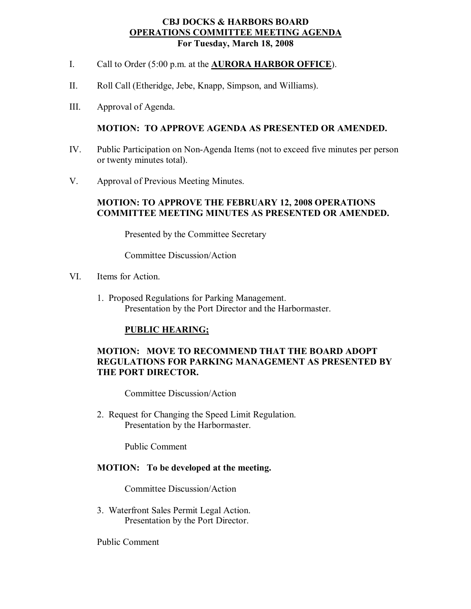### **CBJ DOCKS & HARBORS BOARD OPERATIONS COMMITTEE MEETING AGENDA For Tuesday, March 18, 2008**

- I. Call to Order (5:00 p.m. at the **AURORA HARBOR OFFICE**).
- II. Roll Call (Etheridge, Jebe, Knapp, Simpson, and Williams).
- III. Approval of Agenda.

### **MOTION: TO APPROVE AGENDA AS PRESENTED OR AMENDED.**

- IV. Public Participation on Non-Agenda Items (not to exceed five minutes per person or twenty minutes total).
- V. Approval of Previous Meeting Minutes.

## **MOTION: TO APPROVE THE FEBRUARY 12, 2008 OPERATIONS COMMITTEE MEETING MINUTES AS PRESENTED OR AMENDED.**

Presented by the Committee Secretary

Committee Discussion/Action

- VI. Items for Action.
	- 1. Proposed Regulations for Parking Management. Presentation by the Port Director and the Harbormaster.

### **PUBLIC HEARING;**

## **MOTION: MOVE TO RECOMMEND THAT THE BOARD ADOPT REGULATIONS FOR PARKING MANAGEMENT AS PRESENTED BY THE PORT DIRECTOR.**

Committee Discussion/Action

2. Request for Changing the Speed Limit Regulation. Presentation by the Harbormaster.

Public Comment

#### **MOTION: To be developed at the meeting.**

Committee Discussion/Action

3. Waterfront Sales Permit Legal Action. Presentation by the Port Director.

Public Comment